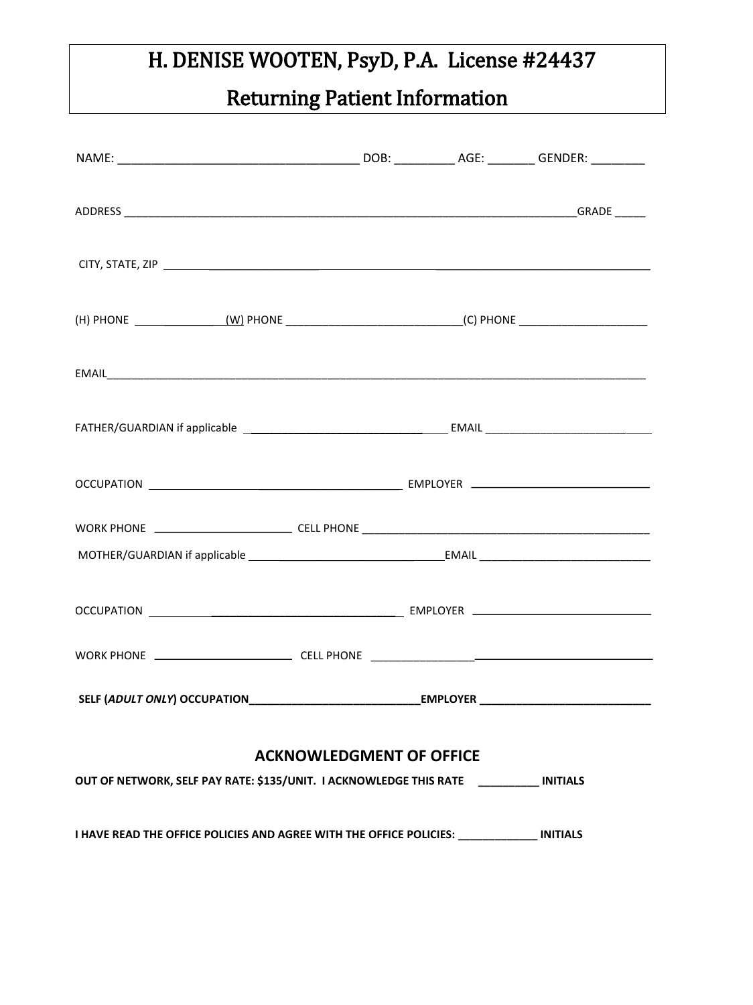# Returning Patient Information

| <b>ACKNOWLEDGMENT OF OFFICE</b><br>OUT OF NETWORK, SELF PAY RATE: \$135/UNIT. I ACKNOWLEDGE THIS RATE [100000000000000000000000000000000 |  |  |  |  |
|------------------------------------------------------------------------------------------------------------------------------------------|--|--|--|--|
| I HAVE READ THE OFFICE POLICIES AND AGREE WITH THE OFFICE POLICIES: ______________ INITIALS                                              |  |  |  |  |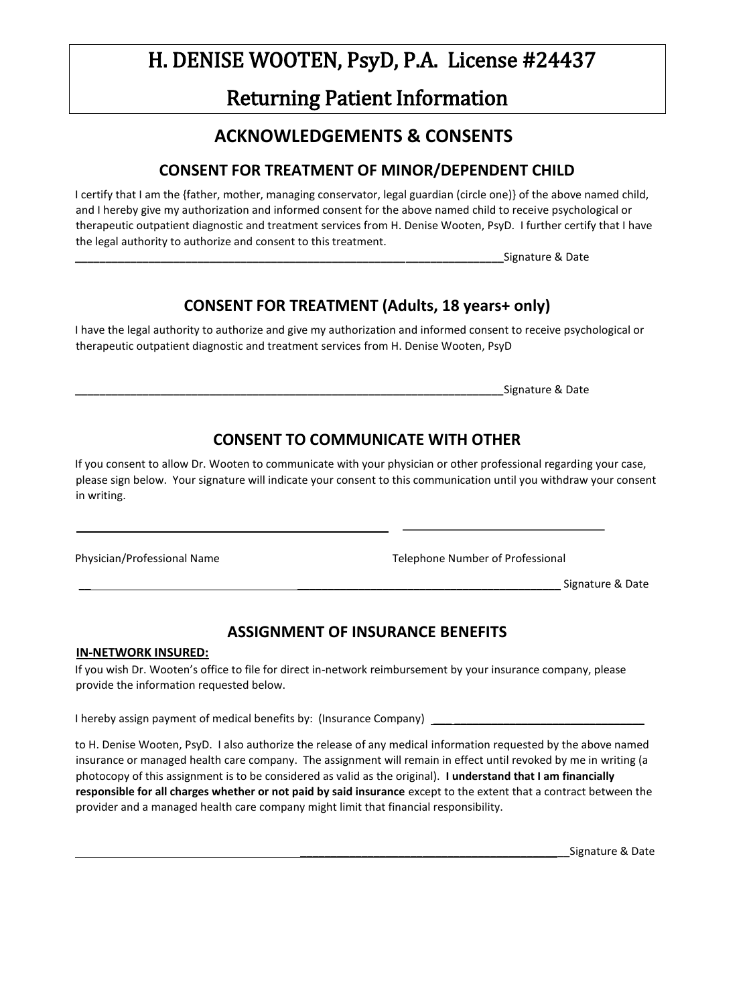### Returning Patient Information

### **ACKNOWLEDGEMENTS & CONSENTS**

#### **CONSENT FOR TREATMENT OF MINOR/DEPENDENT CHILD**

I certify that I am the {father, mother, managing conservator, legal guardian (circle one)} of the above named child, and I hereby give my authorization and informed consent for the above named child to receive psychological or therapeutic outpatient diagnostic and treatment services from H. Denise Wooten, PsyD. I further certify that I have the legal authority to authorize and consent to this treatment.

**\_\_\_\_\_\_\_\_\_\_\_\_\_\_\_\_\_\_\_\_\_\_\_\_\_\_\_\_\_\_\_\_\_\_\_\_\_\_\_\_\_\_\_\_\_\_\_\_\_\_\_\_\_\_\_\_\_\_\_\_\_\_\_\_\_\_\_\_\_\_**Signature & Date

#### **CONSENT FOR TREATMENT (Adults, 18 years+ only)**

I have the legal authority to authorize and give my authorization and informed consent to receive psychological or therapeutic outpatient diagnostic and treatment services from H. Denise Wooten, PsyD

**\_\_\_\_\_\_\_\_\_\_\_\_\_\_\_\_\_\_\_\_\_\_\_\_\_\_\_\_\_\_\_\_\_\_\_\_\_\_\_\_\_\_\_\_\_\_\_\_\_\_\_\_\_\_\_\_\_\_\_\_\_\_\_\_\_\_\_\_\_\_**Signature & Date

#### **CONSENT TO COMMUNICATE WITH OTHER**

If you consent to allow Dr. Wooten to communicate with your physician or other professional regarding your case, please sign below. Your signature will indicate your consent to this communication until you withdraw your consent in writing.

Physician/Professional Name Telephone Number of Professional

Signature & Date

#### **ASSIGNMENT OF INSURANCE BENEFITS**

#### **IN-NETWORK INSURED:**

If you wish Dr. Wooten's office to file for direct in-network reimbursement by your insurance company, please provide the information requested below.

I hereby assign payment of medical benefits by: (Insurance Company) \_

to H. Denise Wooten, PsyD. I also authorize the release of any medical information requested by the above named insurance or managed health care company. The assignment will remain in effect until revoked by me in writing (a photocopy of this assignment is to be considered as valid as the original). **I understand that I am financially responsible for all charges whether or not paid by said insurance** except to the extent that a contract between the provider and a managed health care company might limit that financial responsibility.

\_\_\_\_\_\_\_\_\_\_\_\_\_\_\_\_\_\_\_\_\_\_\_\_\_\_\_\_\_\_\_\_\_\_\_\_\_\_\_\_\_\_\_\_Signature & Date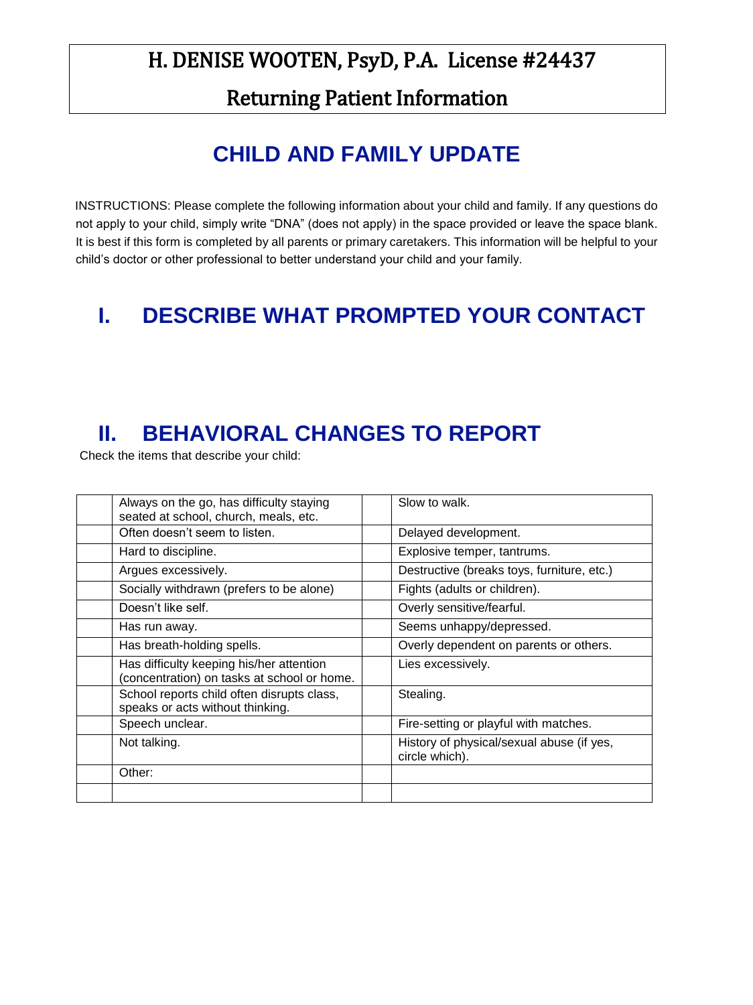Returning Patient Information

## **CHILD AND FAMILY UPDATE**

INSTRUCTIONS: Please complete the following information about your child and family. If any questions do not apply to your child, simply write "DNA" (does not apply) in the space provided or leave the space blank. It is best if this form is completed by all parents or primary caretakers. This information will be helpful to your child's doctor or other professional to better understand your child and your family.

### **I. DESCRIBE WHAT PROMPTED YOUR CONTACT**

## **II. BEHAVIORAL CHANGES TO REPORT**

Check the items that describe your child:

| Always on the go, has difficulty staying<br>seated at school, church, meals, etc.       | Slow to walk.                                               |
|-----------------------------------------------------------------------------------------|-------------------------------------------------------------|
| Often doesn't seem to listen.                                                           | Delayed development.                                        |
| Hard to discipline.                                                                     | Explosive temper, tantrums.                                 |
| Argues excessively.                                                                     | Destructive (breaks toys, furniture, etc.)                  |
| Socially withdrawn (prefers to be alone)                                                | Fights (adults or children).                                |
| Doesn't like self.                                                                      | Overly sensitive/fearful.                                   |
| Has run away.                                                                           | Seems unhappy/depressed.                                    |
| Has breath-holding spells.                                                              | Overly dependent on parents or others.                      |
| Has difficulty keeping his/her attention<br>(concentration) on tasks at school or home. | Lies excessively.                                           |
| School reports child often disrupts class,<br>speaks or acts without thinking.          | Stealing.                                                   |
| Speech unclear.                                                                         | Fire-setting or playful with matches.                       |
| Not talking.                                                                            | History of physical/sexual abuse (if yes,<br>circle which). |
| Other:                                                                                  |                                                             |
|                                                                                         |                                                             |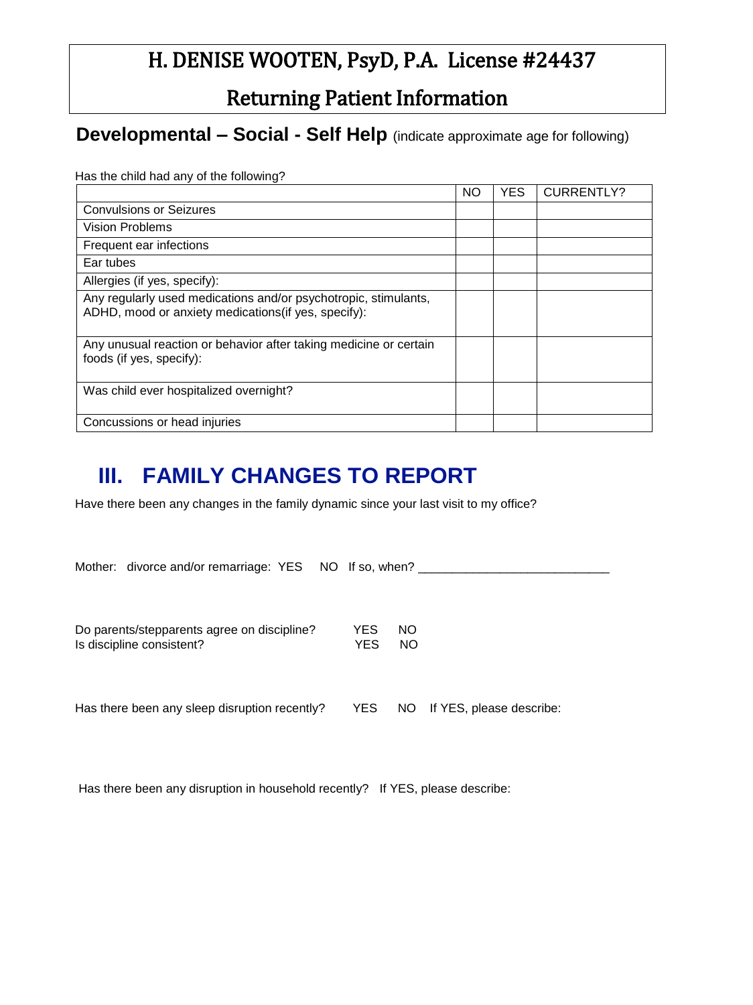Returning Patient Information

**Developmental – Social - Self Help** (indicate approximate age for following)

Has the child had any of the following?

|                                                                                                                         | <b>NO</b> | <b>YES</b> | <b>CURRENTLY?</b> |
|-------------------------------------------------------------------------------------------------------------------------|-----------|------------|-------------------|
| <b>Convulsions or Seizures</b>                                                                                          |           |            |                   |
| <b>Vision Problems</b>                                                                                                  |           |            |                   |
| Frequent ear infections                                                                                                 |           |            |                   |
| Ear tubes                                                                                                               |           |            |                   |
| Allergies (if yes, specify):                                                                                            |           |            |                   |
| Any regularly used medications and/or psychotropic, stimulants,<br>ADHD, mood or anxiety medications (if yes, specify): |           |            |                   |
| Any unusual reaction or behavior after taking medicine or certain<br>foods (if yes, specify):                           |           |            |                   |
| Was child ever hospitalized overnight?                                                                                  |           |            |                   |
| Concussions or head injuries                                                                                            |           |            |                   |

## **III. FAMILY CHANGES TO REPORT**

Have there been any changes in the family dynamic since your last visit to my office?

| Mother: divorce and/or remarriage: YES NO If so, when? |     |           |                             |
|--------------------------------------------------------|-----|-----------|-----------------------------|
|                                                        |     |           |                             |
|                                                        |     |           |                             |
| Do parents/stepparents agree on discipline?            | YES | NO.       |                             |
| Is discipline consistent?                              |     | <b>NO</b> |                             |
|                                                        |     |           |                             |
|                                                        |     |           |                             |
|                                                        |     |           |                             |
| Has there been any sleep disruption recently?          | YES |           | NO If YES, please describe: |
|                                                        |     |           |                             |

Has there been any disruption in household recently? If YES, please describe: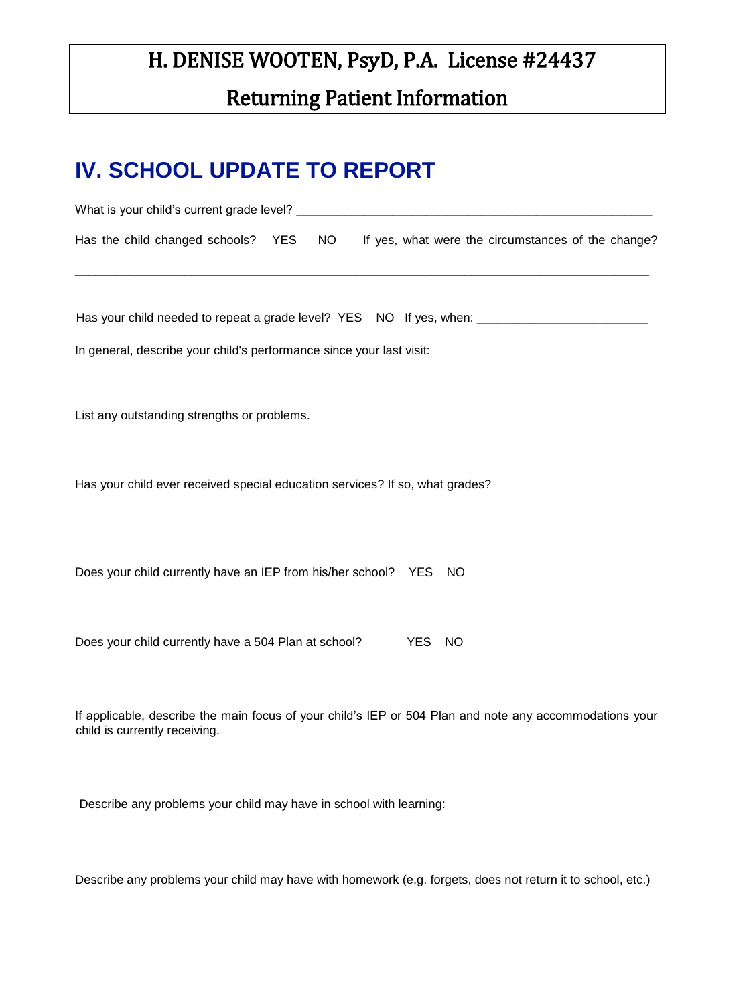### Returning Patient Information

### **IV. SCHOOL UPDATE TO REPORT**

| Has the child changed schools? YES NO<br>If yes, what were the circumstances of the change?         |
|-----------------------------------------------------------------------------------------------------|
|                                                                                                     |
| Has your child needed to repeat a grade level? YES NO If yes, when: _______________________________ |
| In general, describe your child's performance since your last visit:                                |
| List any outstanding strengths or problems.                                                         |
| Has your child ever received special education services? If so, what grades?                        |
|                                                                                                     |
| Does your child currently have an IEP from his/her school? YES NO                                   |
| Does your child currently have a 504 Plan at school?<br><b>YES</b><br><b>NO</b>                     |

If applicable, describe the main focus of your child's IEP or 504 Plan and note any accommodations your child is currently receiving.

Describe any problems your child may have in school with learning:

Describe any problems your child may have with homework (e.g. forgets, does not return it to school, etc.)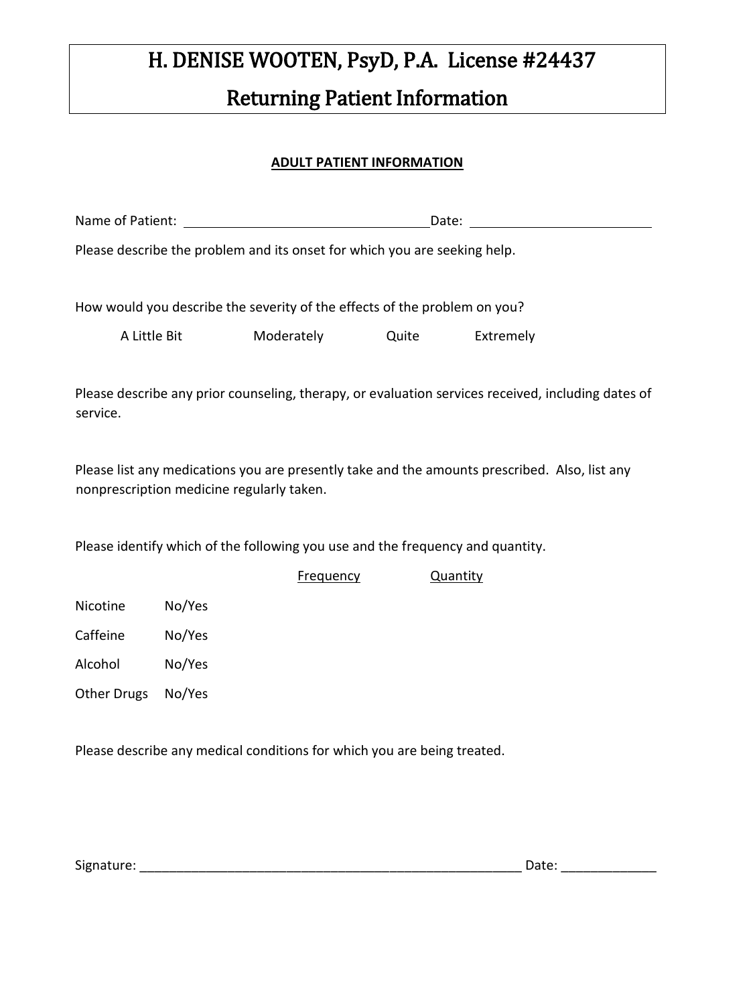# H. DENISE WOOTEN, PsyD, P.A. License #24437 Returning Patient Information

#### **ADULT PATIENT INFORMATION**

| Please describe the problem and its onset for which you are seeking help.                                                                  |        |                  |       |                 |  |
|--------------------------------------------------------------------------------------------------------------------------------------------|--------|------------------|-------|-----------------|--|
| How would you describe the severity of the effects of the problem on you?                                                                  |        |                  |       |                 |  |
| A Little Bit                                                                                                                               |        | Moderately       | Quite | Extremely       |  |
| Please describe any prior counseling, therapy, or evaluation services received, including dates of<br>service.                             |        |                  |       |                 |  |
| Please list any medications you are presently take and the amounts prescribed. Also, list any<br>nonprescription medicine regularly taken. |        |                  |       |                 |  |
| Please identify which of the following you use and the frequency and quantity.                                                             |        |                  |       |                 |  |
|                                                                                                                                            |        | <b>Frequency</b> |       | <b>Quantity</b> |  |
| Nicotine                                                                                                                                   | No/Yes |                  |       |                 |  |
| Caffeine                                                                                                                                   | No/Yes |                  |       |                 |  |
| Alcohol                                                                                                                                    | No/Yes |                  |       |                 |  |
| <b>Other Drugs</b>                                                                                                                         | No/Yes |                  |       |                 |  |

Please describe any medical conditions for which you are being treated.

Signature: \_\_\_\_\_\_\_\_\_\_\_\_\_\_\_\_\_\_\_\_\_\_\_\_\_\_\_\_\_\_\_\_\_\_\_\_\_\_\_\_\_\_\_\_\_\_\_\_\_\_\_\_ Date: \_\_\_\_\_\_\_\_\_\_\_\_\_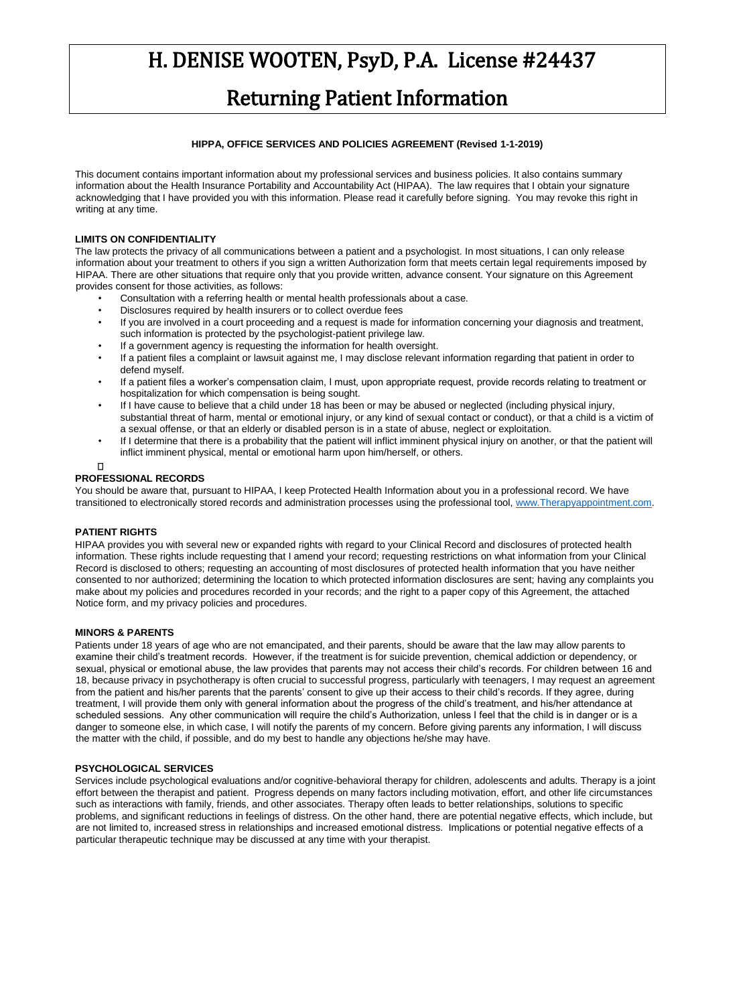### Returning Patient Information

#### **HIPPA, OFFICE SERVICES AND POLICIES AGREEMENT (Revised 1-1-2019)**

This document contains important information about my professional services and business policies. It also contains summary information about the Health Insurance Portability and Accountability Act (HIPAA). The law requires that I obtain your signature acknowledging that I have provided you with this information. Please read it carefully before signing. You may revoke this right in writing at any time.

#### **LIMITS ON CONFIDENTIALITY**

The law protects the privacy of all communications between a patient and a psychologist. In most situations, I can only release information about your treatment to others if you sign a written Authorization form that meets certain legal requirements imposed by HIPAA. There are other situations that require only that you provide written, advance consent. Your signature on this Agreement provides consent for those activities, as follows:

- Consultation with a referring health or mental health professionals about a case.
- Disclosures required by health insurers or to collect overdue fees
- If you are involved in a court proceeding and a request is made for information concerning your diagnosis and treatment, such information is protected by the psychologist-patient privilege law.
- If a government agency is requesting the information for health oversight.
- If a patient files a complaint or lawsuit against me, I may disclose relevant information regarding that patient in order to defend myself.
- If a patient files a worker's compensation claim, I must, upon appropriate request, provide records relating to treatment or hospitalization for which compensation is being sought.
- If I have cause to believe that a child under 18 has been or may be abused or neglected (including physical injury, substantial threat of harm, mental or emotional injury, or any kind of sexual contact or conduct), or that a child is a victim of a sexual offense, or that an elderly or disabled person is in a state of abuse, neglect or exploitation.
- If I determine that there is a probability that the patient will inflict imminent physical injury on another, or that the patient will inflict imminent physical, mental or emotional harm upon him/herself, or others.
- $\Box$

#### **PROFESSIONAL RECORDS**

You should be aware that, pursuant to HIPAA, I keep Protected Health Information about you in a professional record. We have transitioned to electronically stored records and administration processes using the professional tool[, www.Therapyappointment.com.](http://www.therapyappointment.com/) 

#### **PATIENT RIGHTS**

HIPAA provides you with several new or expanded rights with regard to your Clinical Record and disclosures of protected health information. These rights include requesting that I amend your record; requesting restrictions on what information from your Clinical Record is disclosed to others; requesting an accounting of most disclosures of protected health information that you have neither consented to nor authorized; determining the location to which protected information disclosures are sent; having any complaints you make about my policies and procedures recorded in your records; and the right to a paper copy of this Agreement, the attached Notice form, and my privacy policies and procedures.

#### **MINORS & PARENTS**

Patients under 18 years of age who are not emancipated, and their parents, should be aware that the law may allow parents to examine their child's treatment records. However, if the treatment is for suicide prevention, chemical addiction or dependency, or sexual, physical or emotional abuse, the law provides that parents may not access their child's records. For children between 16 and 18, because privacy in psychotherapy is often crucial to successful progress, particularly with teenagers, I may request an agreement from the patient and his/her parents that the parents' consent to give up their access to their child's records. If they agree, during treatment, I will provide them only with general information about the progress of the child's treatment, and his/her attendance at scheduled sessions. Any other communication will require the child's Authorization, unless I feel that the child is in danger or is a danger to someone else, in which case, I will notify the parents of my concern. Before giving parents any information, I will discuss the matter with the child, if possible, and do my best to handle any objections he/she may have.

#### **PSYCHOLOGICAL SERVICES**

Services include psychological evaluations and/or cognitive-behavioral therapy for children, adolescents and adults. Therapy is a joint effort between the therapist and patient. Progress depends on many factors including motivation, effort, and other life circumstances such as interactions with family, friends, and other associates. Therapy often leads to better relationships, solutions to specific problems, and significant reductions in feelings of distress. On the other hand, there are potential negative effects, which include, but are not limited to, increased stress in relationships and increased emotional distress. Implications or potential negative effects of a particular therapeutic technique may be discussed at any time with your therapist.